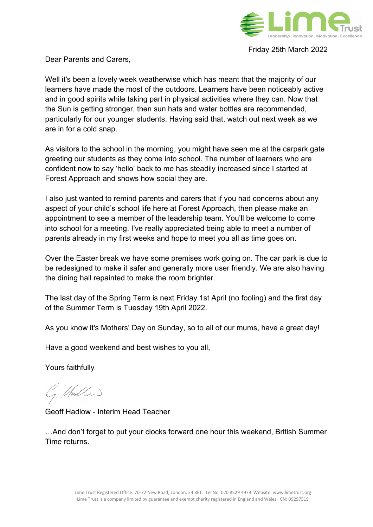

Friday 25th March 2022

Dear Parents and Carers,

Well it's been a lovely week weatherwise which has meant that the majority of our learners have made the most of the outdoors. Learners have been noticeably active and in good spirits while taking part in physical activities where they can. Now that the Sun is getting stronger, then sun hats and water bottles are recommended, particularly for our younger students. Having said that, watch out next week as we are in for a cold snap.

As visitors to the school in the morning, you might have seen me at the carpark gate greeting our students as they come into school. The number of learners who are confident now to say 'hello' back to me has steadily increased since I started at Forest Approach and shows how social they are.

I also just wanted to remind parents and carers that if you had concerns about any aspect of your child's school life here at Forest Approach, then please make an appointment to see a member of the leadership team. You'll be welcome to come into school for a meeting. I've really appreciated being able to meet a number of parents already in my first weeks and hope to meet you all as time goes on.

Over the Easter break we have some premises work going on. The car park is due to be redesigned to make it safer and generally more user friendly. We are also having the dining hall repainted to make the room brighter.

The last day of the Spring Term is next Friday 1st April (no fooling) and the first day of the Summer Term is Tuesday 19th April 2022.

As you know it's Mothers' Day on Sunday, so to all of our mums, have a great day!

Have a good weekend and best wishes to you all,

Yours faithfully

1. Hadden

Geoff Hadlow - Interim Head Teacher

…And don't forget to put your clocks forward one hour this weekend, British Summer Time returns.